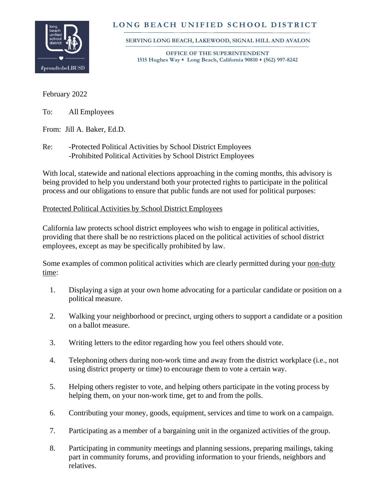

## **L O N G B E A C H U N I F I E D S C H O O L D I S T R I C T**

 **SERVING LONG BEACH, LAKEWOOD, SIGNAL HILL AND AVALON**

 **OFFICE OF THE SUPERINTENDENT 1515 Hughes Way** ⬧ **Long Beach, California 90810** ⬧ **(562) 997-8242**

February 2022

To: All Employees

From: Jill A. Baker, Ed.D.

Re: -Protected Political Activities by School District Employees -Prohibited Political Activities by School District Employees

With local, statewide and national elections approaching in the coming months, this advisory is being provided to help you understand both your protected rights to participate in the political process and our obligations to ensure that public funds are not used for political purposes:

## Protected Political Activities by School District Employees

California law protects school district employees who wish to engage in political activities, providing that there shall be no restrictions placed on the political activities of school district employees, except as may be specifically prohibited by law.

Some examples of common political activities which are clearly permitted during your non-duty time:

- 1. Displaying a sign at your own home advocating for a particular candidate or position on a political measure.
- 2. Walking your neighborhood or precinct, urging others to support a candidate or a position on a ballot measure.
- 3. Writing letters to the editor regarding how you feel others should vote.
- 4. Telephoning others during non-work time and away from the district workplace (i.e., not using district property or time) to encourage them to vote a certain way.
- 5. Helping others register to vote, and helping others participate in the voting process by helping them, on your non-work time, get to and from the polls.
- 6. Contributing your money, goods, equipment, services and time to work on a campaign.
- 7. Participating as a member of a bargaining unit in the organized activities of the group.
- 8. Participating in community meetings and planning sessions, preparing mailings, taking part in community forums, and providing information to your friends, neighbors and relatives.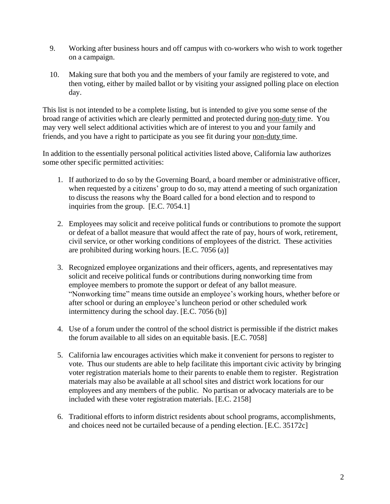- 9. Working after business hours and off campus with co-workers who wish to work together on a campaign.
- 10. Making sure that both you and the members of your family are registered to vote, and then voting, either by mailed ballot or by visiting your assigned polling place on election day.

This list is not intended to be a complete listing, but is intended to give you some sense of the broad range of activities which are clearly permitted and protected during non-duty time. You may very well select additional activities which are of interest to you and your family and friends, and you have a right to participate as you see fit during your non-duty time.

In addition to the essentially personal political activities listed above, California law authorizes some other specific permitted activities:

- 1. If authorized to do so by the Governing Board, a board member or administrative officer, when requested by a citizens' group to do so, may attend a meeting of such organization to discuss the reasons why the Board called for a bond election and to respond to inquiries from the group. [E.C. 7054.1]
- 2. Employees may solicit and receive political funds or contributions to promote the support or defeat of a ballot measure that would affect the rate of pay, hours of work, retirement, civil service, or other working conditions of employees of the district. These activities are prohibited during working hours. [E.C. 7056 (a)]
- 3. Recognized employee organizations and their officers, agents, and representatives may solicit and receive political funds or contributions during nonworking time from employee members to promote the support or defeat of any ballot measure. "Nonworking time" means time outside an employee's working hours, whether before or after school or during an employee's luncheon period or other scheduled work intermittency during the school day. [E.C. 7056 (b)]
- 4. Use of a forum under the control of the school district is permissible if the district makes the forum available to all sides on an equitable basis. [E.C. 7058]
- 5. California law encourages activities which make it convenient for persons to register to vote. Thus our students are able to help facilitate this important civic activity by bringing voter registration materials home to their parents to enable them to register. Registration materials may also be available at all school sites and district work locations for our employees and any members of the public. No partisan or advocacy materials are to be included with these voter registration materials. [E.C. 2158]
- 6. Traditional efforts to inform district residents about school programs, accomplishments, and choices need not be curtailed because of a pending election. [E.C. 35172c]